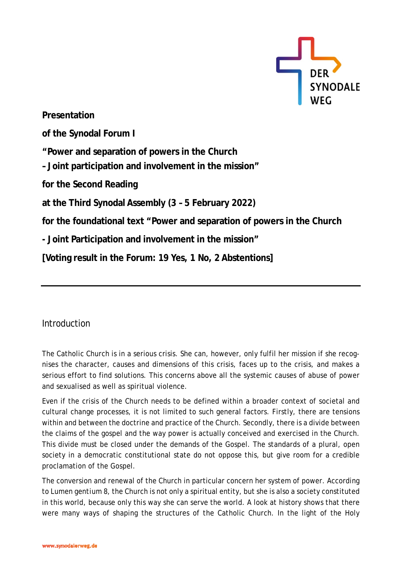

**Presentation of the Synodal Forum I "Power and separation of powers in the Church – Joint participation and involvement in the mission" for the Second Reading at the Third Synodal Assembly (3 – 5 February 2022) for the foundational text "Power and separation of powers in the Church - Joint Participation and involvement in the mission" [Voting result in the Forum: 19 Yes, 1 No, 2 Abstentions]**

Introduction

The Catholic Church is in a serious crisis. She can, however, only fulfil her mission if she recognises the character, causes and dimensions of this crisis, faces up to the crisis, and makes a serious effort to find solutions. This concerns above all the systemic causes of abuse of power and sexualised as well as spiritual violence.

Even if the crisis of the Church needs to be defined within a broader context of societal and cultural change processes, it is not limited to such general factors. Firstly, there are tensions within and between the doctrine and practice of the Church. Secondly, there is a divide between the claims of the gospel and the way power is actually conceived and exercised in the Church. This divide must be closed under the demands of the Gospel. The standards of a plural, open society in a democratic constitutional state do not oppose this, but give room for a credible proclamation of the Gospel.

The conversion and renewal of the Church in particular concern her system of power. According to *Lumen gentium* 8, the Church is not only a spiritual entity, but she is also a society constituted in this world, because only this way she can serve the world. A look at history shows that there were many ways of shaping the structures of the Catholic Church. In the light of the Holy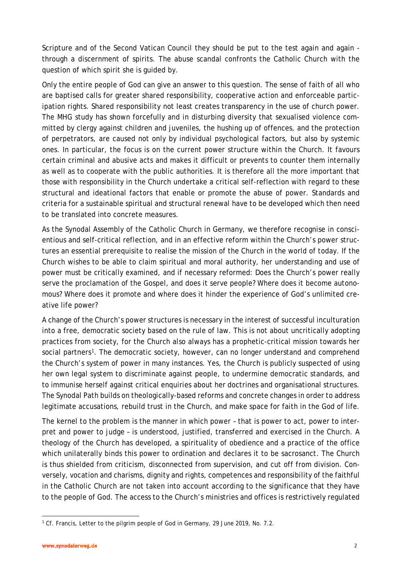Scripture and of the Second Vatican Council they should be put to the test again and again through a discernment of spirits. The abuse scandal confronts the Catholic Church with the question of which spirit she is guided by.

Only the entire people of God can give an answer to this question. The sense of faith of all who are baptised calls for greater shared responsibility, cooperative action and enforceable participation rights. Shared responsibility not least creates transparency in the use of church power. The MHG study has shown forcefully and in disturbing diversity that sexualised violence committed by clergy against children and juveniles, the hushing up of offences, and the protection of perpetrators, are caused not only by individual psychological factors, but also by systemic ones. In particular, the focus is on the current power structure within the Church. It favours certain criminal and abusive acts and makes it difficult or prevents to counter them internally as well as to cooperate with the public authorities. It is therefore all the more important that those with responsibility in the Church undertake a critical self-reflection with regard to these structural and ideational factors that enable or promote the abuse of power. Standards and criteria for a sustainable spiritual and structural renewal have to be developed which then need to be translated into concrete measures.

As the Synodal Assembly of the Catholic Church in Germany, we therefore recognise in conscientious and self-critical reflection, and in an effective reform within the Church's power structures an essential prerequisite to realise the mission of the Church in the world of today. If the Church wishes to be able to claim spiritual and moral authority, her understanding and use of power must be critically examined, and if necessary reformed: Does the Church's power really serve the proclamation of the Gospel, and does it serve people? Where does it become autonomous? Where does it promote and where does it hinder the experience of God's unlimited creative life power?

A change of the Church's power structures is necessary in the interest of successful inculturation into a free, democratic society based on the rule of law. This is not about uncritically adopting practices from society, for the Church also always has a prophetic-critical mission towards her social partners<sup>[1](#page-1-0)</sup>. The democratic society, however, can no longer understand and comprehend the Church's system of power in many instances. Yes, the Church is publicly suspected of using her own legal system to discriminate against people, to undermine democratic standards, and to immunise herself against critical enquiries about her doctrines and organisational structures. The Synodal Path builds on theologically-based reforms and concrete changes in order to address legitimate accusations, rebuild trust in the Church, and make space for faith in the God of life.

The kernel to the problem is the manner in which power – that is power to act, power to interpret and power to judge – is understood, justified, transferred and exercised in the Church. A theology of the Church has developed, a spirituality of obedience and a practice of the office which unilaterally binds this power to ordination and declares it to be sacrosanct. The Church is thus shielded from criticism, disconnected from supervision, and cut off from division. Conversely, vocation and charisms, dignity and rights, competences and responsibility of the faithful in the Catholic Church are not taken into account according to the significance that they have to the people of God. The access to the Church's ministries and offices is restrictively regulated

<span id="page-1-0"></span> $\overline{\phantom{a}}$ <sup>1</sup> Cf. Francis, Letter to the pilgrim people of God in Germany, 29 June 2019, No. 7.2.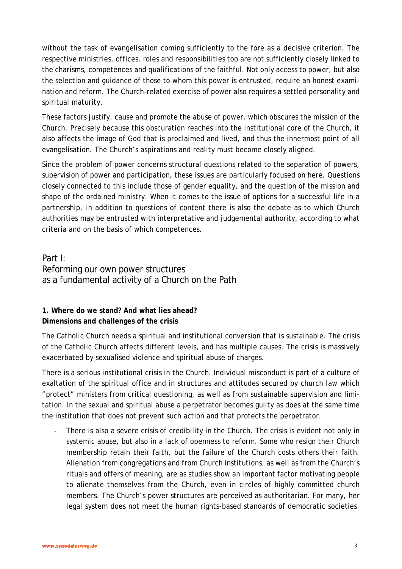without the task of evangelisation coming sufficiently to the fore as a decisive criterion. The respective ministries, offices, roles and responsibilities too are not sufficiently closely linked to the charisms, competences and qualifications of the faithful. Not only access to power, but also the selection and guidance of those to whom this power is entrusted, require an honest examination and reform. The Church-related exercise of power also requires a settled personality and spiritual maturity.

These factors justify, cause and promote the abuse of power, which obscures the mission of the Church. Precisely because this obscuration reaches into the institutional core of the Church, it also affects the image of God that is proclaimed and lived, and thus the innermost point of all evangelisation. The Church's aspirations and reality must become closely aligned.

Since the problem of power concerns structural questions related to the separation of powers, supervision of power and participation, these issues are particularly focused on here. Questions closely connected to this include those of gender equality, and the question of the mission and shape of the ordained ministry. When it comes to the issue of options for a successful life in a partnership, in addition to questions of content there is also the debate as to which Church authorities may be entrusted with interpretative and judgemental authority, according to what criteria and on the basis of which competences.

Part I: Reforming our own power structures as a fundamental activity of a Church on the Path

## **1. Where do we stand? And what lies ahead? Dimensions and challenges of the crisis**

The Catholic Church needs a spiritual and institutional conversion that is sustainable. The crisis of the Catholic Church affects different levels, and has multiple causes. The crisis is massively exacerbated by sexualised violence and spiritual abuse of charges.

There is a serious institutional crisis in the Church. Individual misconduct is part of a culture of exaltation of the spiritual office and in structures and attitudes secured by church law which "protect" ministers from critical questioning, as well as from sustainable supervision and limitation. In the sexual and spiritual abuse a perpetrator becomes guilty as does at the same time the institution that does not prevent such action and that protects the perpetrator.

There is also a severe crisis of credibility in the Church. The crisis is evident not only in systemic abuse, but also in a lack of openness to reform. Some who resign their Church membership retain their faith, but the failure of the Church costs others their faith. Alienation from congregations and from Church institutions, as well as from the Church's rituals and offers of meaning, are as studies show an important factor motivating people to alienate themselves from the Church, even in circles of highly committed church members. The Church's power structures are perceived as authoritarian. For many, her legal system does not meet the human rights-based standards of democratic societies.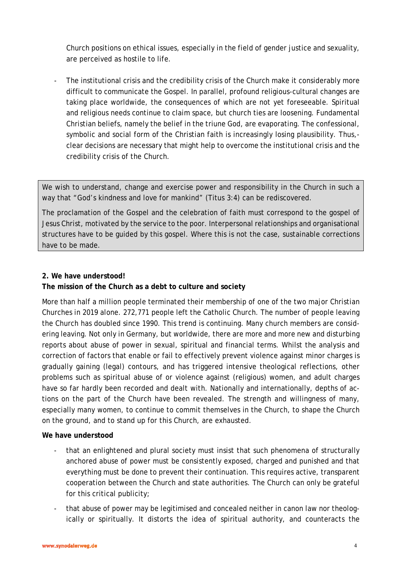Church positions on ethical issues, especially in the field of gender justice and sexuality, are perceived as hostile to life.

- The institutional crisis and the credibility crisis of the Church make it considerably more difficult to communicate the Gospel. In parallel, profound religious-cultural changes are taking place worldwide, the consequences of which are not yet foreseeable. Spiritual and religious needs continue to claim space, but church ties are loosening. Fundamental Christian beliefs, namely the belief in the triune God, are evaporating. The confessional, symbolic and social form of the Christian faith is increasingly losing plausibility. Thus, clear decisions are necessary that might help to overcome the institutional crisis and the credibility crisis of the Church.

We wish to understand, change and exercise power and responsibility in the Church in such a way that "God's kindness and love for mankind" (Titus 3:4) can be rediscovered.

The proclamation of the Gospel and the celebration of faith must correspond to the gospel of Jesus Christ, motivated by the service to the poor. Interpersonal relationships and organisational structures have to be guided by this gospel. Where this is not the case, sustainable corrections have to be made.

#### **2. We have understood!**

### **The mission of the Church as a debt to culture and society**

More than half a million people terminated their membership of one of the two major Christian Churches in 2019 alone. 272,771 people left the Catholic Church. The number of people leaving the Church has doubled since 1990. This trend is continuing. Many church members are considering leaving. Not only in Germany, but worldwide, there are more and more new and disturbing reports about abuse of power in sexual, spiritual and financial terms. Whilst the analysis and correction of factors that enable or fail to effectively prevent violence against minor charges is gradually gaining (legal) contours, and has triggered intensive theological reflections, other problems such as spiritual abuse of or violence against (religious) women, and adult charges have so far hardly been recorded and dealt with. Nationally and internationally, depths of actions on the part of the Church have been revealed. The strength and willingness of many, especially many women, to continue to commit themselves in the Church, to shape the Church on the ground, and to stand up for this Church, are exhausted.

#### **We have understood**

- that an enlightened and plural society must insist that such phenomena of structurally anchored abuse of power must be consistently exposed, charged and punished and that everything must be done to prevent their continuation. This requires active, transparent cooperation between the Church and state authorities. The Church can only be grateful for this critical publicity;
- that abuse of power may be legitimised and concealed neither in canon law nor theologically or spiritually. It distorts the idea of spiritual authority, and counteracts the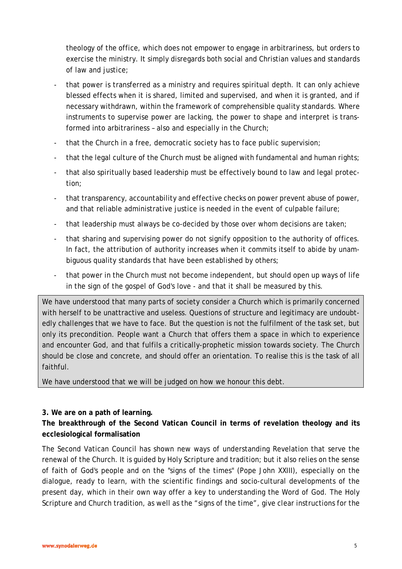theology of the office, which does not empower to engage in arbitrariness, but orders to exercise the ministry. It simply disregards both social and Christian values and standards of law and justice;

- that power is transferred as a ministry and requires spiritual depth. It can only achieve blessed effects when it is shared, limited and supervised, and when it is granted, and if necessary withdrawn, within the framework of comprehensible quality standards. Where instruments to supervise power are lacking, the power to shape and interpret is transformed into arbitrariness – also and especially in the Church;
- that the Church in a free, democratic society has to face public supervision;
- that the legal culture of the Church must be aligned with fundamental and human rights;
- that also spiritually based leadership must be effectively bound to law and legal protection;
- that transparency, accountability and effective checks on power prevent abuse of power, and that reliable administrative justice is needed in the event of culpable failure;
- that leadership must always be co-decided by those over whom decisions are taken;
- that sharing and supervising power do not signify opposition to the authority of offices. In fact, the attribution of authority increases when it commits itself to abide by unambiguous quality standards that have been established by others;
- that power in the Church must not become independent, but should open up ways of life in the sign of the gospel of God's love - and that it shall be measured by this.

We have understood that many parts of society consider a Church which is primarily concerned with herself to be unattractive and useless. Questions of structure and legitimacy are undoubtedly challenges that we have to face. But the question is not the fulfilment of the task set, but only its precondition. People want a Church that offers them a space in which to experience and encounter God, and that fulfils a critically-prophetic mission towards society. The Church should be close and concrete, and should offer an orientation. To realise this is the task of all faithful.

We have understood that we will be judged on how we honour this debt.

### **3. We are on a path of learning.**

**The breakthrough of the Second Vatican Council in terms of revelation theology and its ecclesiological formalisation**

The Second Vatican Council has shown new ways of understanding Revelation that serve the renewal of the Church. It is guided by Holy Scripture and tradition; but it also relies on the sense of faith of God's people and on the "signs of the times" (Pope John XXIII), especially on the dialogue, ready to learn, with the scientific findings and socio-cultural developments of the present day, which in their own way offer a key to understanding the Word of God. The Holy Scripture and Church tradition, as well as the "signs of the time", give clear instructions for the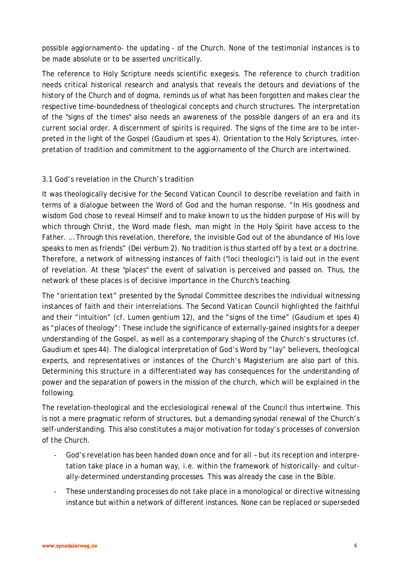possible *aggiornamento*- the updating - of the Church. None of the testimonial instances is to be made absolute or to be asserted uncritically.

The reference to Holy Scripture needs scientific exegesis. The reference to church tradition needs critical historical research and analysis that reveals the detours and deviations of the history of the Church and of dogma, reminds us of what has been forgotten and makes clear the respective time-boundedness of theological concepts and church structures. The interpretation of the "signs of the times" also needs an awareness of the possible dangers of an era and its current social order. A discernment of spirits is required. The signs of the time are to be interpreted in the light of the Gospel (*Gaudium et spes* 4). Orientation to the Holy Scriptures, interpretation of tradition and commitment to the *aggiornamento* of the Church are intertwined.

### 3.1 God's revelation in the Church's tradition

It was theologically decisive for the Second Vatican Council to describe revelation and faith in terms of a dialogue between the Word of God and the human response. "In His goodness and wisdom God chose to reveal Himself and to make known to us the hidden purpose of His will by which through Christ, the Word made flesh, man might in the Holy Spirit have access to the Father. … Through this revelation, therefore, the invisible God out of the abundance of His love speaks to men as friends" (*Dei verbum* 2). No tradition is thus started off by a text or a doctrine. Therefore, a network of witnessing instances of faith ("loci theologici") is laid out in the event of revelation. At these "places" the event of salvation is perceived and passed on. Thus, the network of these places is of decisive importance in the Church's teaching.

The "orientation text" presented by the Synodal Committee describes the individual witnessing instances of faith and their interrelations. The Second Vatican Council highlighted the faithful and their "intuition" (cf. *Lumen gentium* 12), and the "signs of the time" (*Gaudium et spes* 4) as "places of theology": These include the significance of externally-gained insights for a deeper understanding of the Gospel, as well as a contemporary shaping of the Church's structures (cf. *Gaudium et spes* 44). The dialogical interpretation of God's Word by "lay" believers, theological experts, and representatives or instances of the Church's Magisterium are also part of this. Determining this structure in a differentiated way has consequences for the understanding of power and the separation of powers in the mission of the church, which will be explained in the following.

The revelation-theological and the ecclesiological renewal of the Council thus intertwine. This is not a mere pragmatic reform of structures, but a demanding synodal renewal of the Church's self-understanding. This also constitutes a major motivation for today's processes of conversion of the Church.

- God's revelation has been handed down once and for all but its reception and interpretation take place in a human way, i.e. within the framework of historically- and culturally-determined understanding processes. This was already the case in the Bible.
- These understanding processes do not take place in a monological or directive witnessing instance but within a network of different instances. None can be replaced or superseded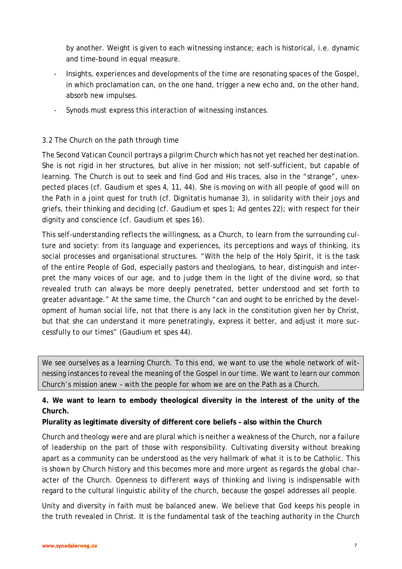by another. Weight is given to each witnessing instance; each is historical, i.e. dynamic and time-bound in equal measure.

- Insights, experiences and developments of the time are resonating spaces of the Gospel, in which proclamation can, on the one hand, trigger a new echo and, on the other hand, absorb new impulses.
- Synods must express this interaction of witnessing instances.

#### 3.2 The Church on the path through time

The Second Vatican Council portrays a pilgrim Church which has not yet reached her destination. She is not rigid in her structures, but alive in her mission; not self-sufficient, but capable of learning. The Church is out to seek and find God and His traces, also in the "strange", unexpected places (cf. *Gaudium et spes* 4, 11, 44). She is moving on with all people of good will on the Path in a joint quest for truth (cf. *Dignitatis humanae* 3), in solidarity with their joys and griefs, their thinking and deciding (cf. *Gaudium et spes* 1; *Ad gentes* 22); with respect for their dignity and conscience (cf. *Gaudium et spes* 16).

This self-understanding reflects the willingness, as a Church, to learn from the surrounding culture and society: from its language and experiences, its perceptions and ways of thinking, its social processes and organisational structures. "With the help of the Holy Spirit, it is the task of the entire People of God, especially pastors and theologians, to hear, distinguish and interpret the many voices of our age, and to judge them in the light of the divine word, so that revealed truth can always be more deeply penetrated, better understood and set forth to greater advantage." At the same time, the Church "can and ought to be enriched by the development of human social life, not that there is any lack in the constitution given her by Christ, but that she can understand it more penetratingly, express it better, and adjust it more successfully to our times" (*Gaudium et spes* 44).

We see ourselves as a learning Church. To this end, we want to use the whole network of witnessing instances to reveal the meaning of the Gospel in our time. We want to learn our common Church's mission anew – with the people for whom we are on the Path as a Church.

**4. We want to learn to embody theological diversity in the interest of the unity of the Church.**

**Plurality as legitimate diversity of different core beliefs – also within the Church**

Church and theology were and are plural which is neither a weakness of the Church, nor a failure of leadership on the part of those with responsibility. Cultivating diversity without breaking apart as a community can be understood as the very hallmark of what it is to be Catholic. This is shown by Church history and this becomes more and more urgent as regards the global character of the Church. Openness to different ways of thinking and living is indispensable with regard to the cultural linguistic ability of the church, because the gospel addresses all people.

Unity and diversity in faith must be balanced anew. We believe that God keeps his people in the truth revealed in Christ. It is the fundamental task of the teaching authority in the Church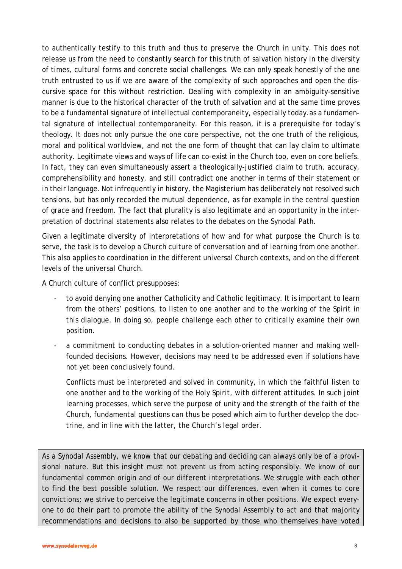to authentically testify to this truth and thus to preserve the Church in unity. This does not release us from the need to constantly search for this truth of salvation history in the diversity of times, cultural forms and concrete social challenges. We can only speak honestly of the one truth entrusted to us if we are aware of the complexity of such approaches and open the discursive space for this without restriction. Dealing with complexity in an ambiguity-sensitive manner is due to the historical character of the truth of salvation and at the same time proves to be a fundamental signature of intellectual contemporaneity, especially today.as a fundamental signature of intellectual contemporaneity. For this reason, it is a prerequisite for today's theology. It does not only pursue the one core perspective, not the one truth of the religious, moral and political worldview, and not the one form of thought that can lay claim to ultimate authority. Legitimate views and ways of life can co-exist in the Church too, even on core beliefs. In fact, they can even simultaneously assert a theologically-justified claim to truth, accuracy, comprehensibility and honesty, and still contradict one another in terms of their statement or in their language. Not infrequently in history, the Magisterium has deliberately not resolved such tensions, but has only recorded the mutual dependence, as for example in the central question of grace and freedom. The fact that plurality is also legitimate and an opportunity in the interpretation of doctrinal statements also relates to the debates on the Synodal Path.

Given a legitimate diversity of interpretations of how and for what purpose the Church is to serve, the task is to develop a Church culture of conversation and of learning from one another. This also applies to coordination in the different universal Church contexts, and on the different levels of the universal Church.

A Church culture of conflict presupposes:

- to avoid denying one another Catholicity and Catholic legitimacy. It is important to learn from the others' positions, to listen to one another and to the working of the Spirit in this dialogue. In doing so, people challenge each other to critically examine their own position.
- a commitment to conducting debates in a solution-oriented manner and making wellfounded decisions. However, decisions may need to be addressed even if solutions have not yet been conclusively found.

Conflicts must be interpreted and solved in community, in which the faithful listen to one another and to the working of the Holy Spirit, with different attitudes. In such joint learning processes, which serve the purpose of unity and the strength of the faith of the Church, fundamental questions can thus be posed which aim to further develop the doctrine, and in line with the latter, the Church's legal order.

As a Synodal Assembly, we know that our debating and deciding can always only be of a provisional nature. But this insight must not prevent us from acting responsibly. We know of our fundamental common origin and of our different interpretations. We struggle with each other to find the best possible solution. We respect our differences, even when it comes to core convictions; we strive to perceive the legitimate concerns in other positions. We expect everyone to do their part to promote the ability of the Synodal Assembly to act and that majority recommendations and decisions to also be supported by those who themselves have voted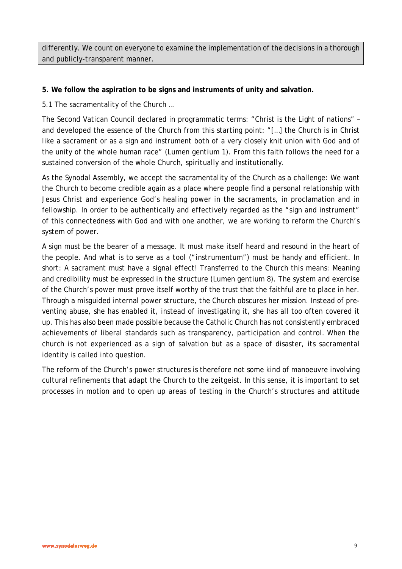differently. We count on everyone to examine the implementation of the decisions in a thorough and publicly-transparent manner.

#### **5. We follow the aspiration to be signs and instruments of unity and salvation.**

5.1 The sacramentality of the Church …

The Second Vatican Council declared in programmatic terms: "Christ is the Light of nations" – and developed the essence of the Church from this starting point: "[…] the Church is in Christ like a sacrament or as a sign and instrument both of a very closely knit union with God and of the unity of the whole human race" (*Lumen gentium* 1). From this faith follows the need for a sustained conversion of the whole Church, spiritually and institutionally.

As the Synodal Assembly, we accept the sacramentality of the Church as a challenge: We want the Church to become credible again as a place where people find a personal relationship with Jesus Christ and experience God's healing power in the sacraments, in proclamation and in fellowship. In order to be authentically and effectively regarded as the "sign and instrument" of this connectedness with God and with one another, we are working to reform the Church's system of power.

A sign must be the bearer of a message. It must make itself heard and resound in the heart of the people. And what is to serve as a *tool* ("*instrumentum*") must be handy and efficient. In short: A sacrament must have a signal effect! Transferred to the Church this means: Meaning and credibility must be expressed in the structure (*Lumen gentium* 8). The system and exercise of the Church's power must prove itself worthy of the trust that the faithful are to place in her. Through a misguided internal power structure, the Church obscures her mission. Instead of preventing abuse, she has enabled it, instead of investigating it, she has all too often covered it up. This has also been made possible because the Catholic Church has not consistently embraced achievements of liberal standards such as transparency, participation and control. When the church is not experienced as a sign of salvation but as a space of disaster, its sacramental identity is called into question.

The reform of the Church's power structures is therefore not some kind of manoeuvre involving cultural refinements that adapt the Church to the zeitgeist. In this sense, it is important to set processes in motion and to open up areas of testing in the Church's structures and attitude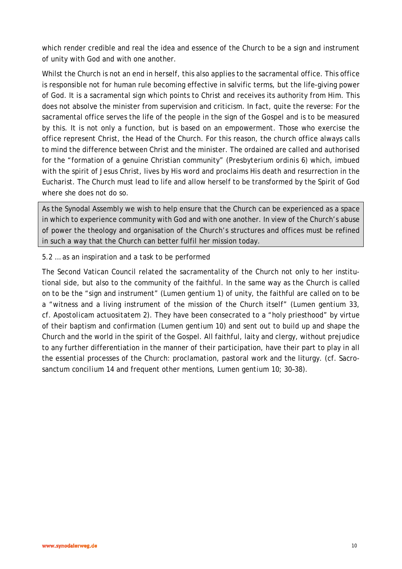which render credible and real the idea and essence of the Church to be a sign and instrument of unity with God and with one another.

Whilst the Church is not an end in herself, this also applies to the sacramental office. This office is responsible not for human rule becoming effective in salvific terms, but the life-giving power of God. It is a sacramental sign which points to Christ and receives its authority from Him. This does not absolve the minister from supervision and criticism. In fact, quite the reverse: For the sacramental office serves the life of the people in the sign of the Gospel and is to be measured by this. It is not only a function, but is based on an empowerment. Those who exercise the office represent Christ, the Head of the Church. For this reason, the church office always calls to mind the difference between Christ and the minister. The ordained are called and authorised for the "formation of a genuine Christian community" (*Presbyterium ordinis* 6) which, imbued with the spirit of Jesus Christ, lives by His word and proclaims His death and resurrection in the Eucharist. The Church must lead to life and allow herself to be transformed by the Spirit of God where she does not do so.

As the Synodal Assembly we wish to help ensure that the Church can be experienced as a space in which to experience community with God and with one another. In view of the Church's abuse of power the theology and organisation of the Church's structures and offices must be refined in such a way that the Church can better fulfil her mission today.

#### 5.2 … as an inspiration and a task to be performed

The Second Vatican Council related the sacramentality of the Church not only to her institutional side, but also to the community of the faithful. In the same way as the Church is called on to be the "sign and instrument" (*Lumen gentium* 1) of unity, the faithful are called on to be a "witness and a living instrument of the mission of the Church itself" (*Lumen gentium* 33, cf. *Apostolicam actuositatem* 2). They have been consecrated to a "holy priesthood" by virtue of their baptism and confirmation (*Lumen gentium* 10) and sent out to build up and shape the Church and the world in the spirit of the Gospel. All faithful, laity and clergy, without prejudice to any further differentiation in the manner of their participation, have their part to play in all the essential processes of the Church: proclamation, pastoral work and the liturgy. (cf. *Sacrosanctum concilium* 14 and frequent other mentions, *Lumen gentium* 10; 30–38).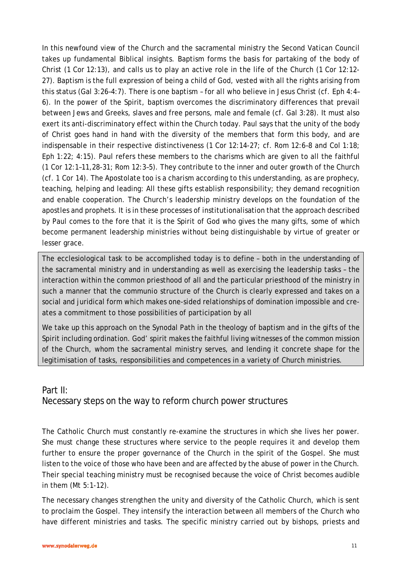In this newfound view of the Church and the sacramental ministry the Second Vatican Council takes up fundamental Biblical insights. Baptism forms the basis for partaking of the body of Christ (1 Cor 12:13), and calls us to play an active role in the life of the Church (1 Cor 12:12- 27). Baptism is the full expression of being a child of God, vested with all the rights arising from this status (Gal 3:26–4:7). There is *one* baptism – for *all* who believe in Jesus Christ (cf. Eph 4:4– 6). In the power of the Spirit, baptism overcomes the discriminatory differences that prevail between Jews and Greeks, slaves and free persons, male and female (cf. Gal 3:28). It must also exert its anti-discriminatory effect within the Church today. Paul says that the unity of the body of Christ goes hand in hand with the diversity of the members that form this body, and are indispensable in their respective distinctiveness (1 Cor 12:14-27; cf. Rom 12:6–8 and Col 1:18; Eph 1:22; 4:15). Paul refers these members to the charisms which are given to all the faithful (1 Cor 12:1–11,28-31; Rom 12:3–5). They contribute to the inner and outer growth of the Church (cf. 1 Cor 14). The Apostolate too is a charism according to this understanding, as are prophecy, teaching, helping and leading: All these gifts establish responsibility; they demand recognition and enable cooperation. The Church's leadership ministry develops on the foundation of the apostles and prophets. It is in these processes of institutionalisation that the approach described by Paul comes to the fore that it is the Spirit of God who gives the many gifts, some of which become permanent leadership ministries without being distinguishable by virtue of greater or lesser grace.

The ecclesiological task to be accomplished today is to define – both in the understanding of the sacramental ministry and in understanding as well as exercising the leadership tasks – the interaction within the common priesthood of all and the particular priesthood of the ministry in such a manner that the *communio* structure of the Church is clearly expressed and takes on a social and juridical form which makes one-sided relationships of domination impossible and creates a commitment to those possibilities of participation by all

We take up this approach on the Synodal Path in the theology of baptism and in the gifts of the Spirit including ordination. God' spirit makes the faithful living witnesses of the common mission of the Church, whom the sacramental ministry serves, and lending it concrete shape for the legitimisation of tasks, responsibilities and competences in a variety of Church ministries.

# Part II: Necessary steps on the way to reform church power structures

The Catholic Church must constantly re-examine the structures in which she lives her power. She must change these structures where service to the people requires it and develop them further to ensure the proper governance of the Church in the spirit of the Gospel. She must listen to the voice of those who have been and are affected by the abuse of power in the Church. Their special teaching ministry must be recognised because the voice of Christ becomes audible in them (Mt 5:1-12).

The necessary changes strengthen the unity and diversity of the Catholic Church, which is sent to proclaim the Gospel. They intensify the interaction between all members of the Church who have different ministries and tasks. The specific ministry carried out by bishops, priests and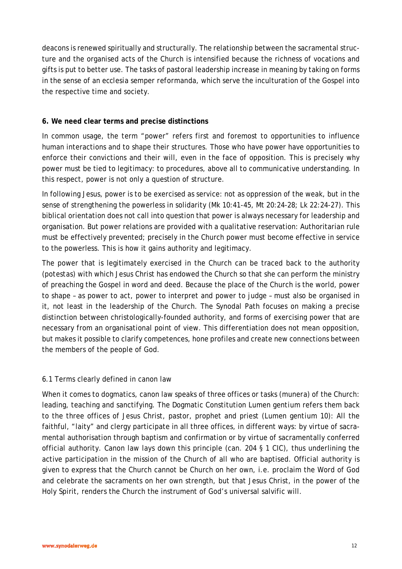deacons is renewed spiritually and structurally. The relationship between the sacramental structure and the organised acts of the Church is intensified because the richness of vocations and gifts is put to better use. The tasks of pastoral leadership increase in meaning by taking on forms in the sense of an *ecclesia semper reformanda*, which serve the inculturation of the Gospel into the respective time and society.

#### **6. We need clear terms and precise distinctions**

In common usage, the term "power" refers first and foremost to opportunities to influence human interactions and to shape their structures. Those who have power have opportunities to enforce their convictions and their will, even in the face of opposition. This is precisely why power must be tied to legitimacy: to procedures, above all to communicative understanding. In this respect, power is not only a question of structure.

In following Jesus, power is to be exercised as service: not as oppression of the weak, but in the sense of strengthening the powerless in solidarity (Mk 10:41-45, Mt 20:24-28; Lk 22:24-27). This biblical orientation does not call into question that power is always necessary for leadership and organisation. But power relations are provided with a qualitative reservation: Authoritarian rule must be effectively prevented; precisely in the Church power must become effective in service to the powerless. This is how it gains authority and legitimacy.

The power that is legitimately exercised in the Church can be traced back to the authority (*potestas*) with which Jesus Christ has endowed the Church so that she can perform the ministry of preaching the Gospel in word and deed. Because the place of the Church is the world, power to shape – as power to act, power to interpret and power to judge – must also be organised in it, not least in the leadership of the Church. The Synodal Path focuses on making a precise distinction between christologically-founded authority, and forms of exercising power that are necessary from an organisational point of view. This differentiation does not mean opposition, but makes it possible to clarify competences, hone profiles and create new connections between the members of the people of God.

#### 6.1 Terms clearly defined in canon law

When it comes to dogmatics, canon law speaks of three offices or tasks (*munera*) of the Church: leading, teaching and sanctifying. The Dogmatic Constitution *Lumen gentium* refers them back to the three offices of Jesus Christ, pastor, prophet and priest (*Lumen gentium* 10): All the faithful, "laity" and clergy participate in all three offices, in different ways: by virtue of sacramental authorisation through baptism and confirmation or by virtue of sacramentally conferred official authority. Canon law lays down this principle (can. 204 § 1 CIC), thus underlining the active participation in the mission of the Church of all who are baptised. Official authority is given to express that the Church cannot be Church on her own, i.e. proclaim the Word of God and celebrate the sacraments on her own strength, but that Jesus Christ, in the power of the Holy Spirit, renders the Church the instrument of God's universal salvific will.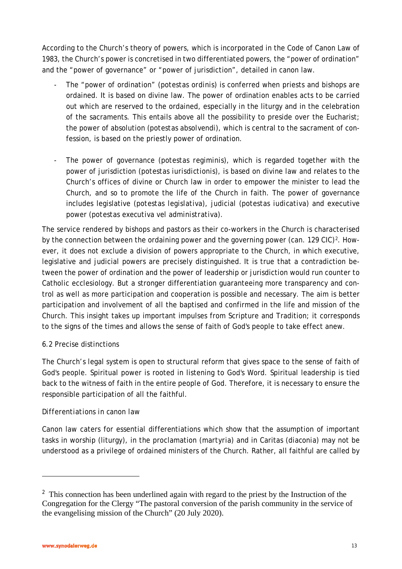According to the Church's theory of powers, which is incorporated in the Code of Canon Law of 1983, the Church's power is concretised in two differentiated powers, the "power of ordination" and the "power of governance" or "power of jurisdiction", detailed in canon law.

- The "power of ordination" (potestas ordinis) is conferred when priests and bishops are ordained. It is based on divine law. The power of ordination enables acts to be carried out which are reserved to the ordained, especially in the liturgy and in the celebration of the sacraments. This entails above all the possibility to preside over the Eucharist; the power of absolution (*potestas absolvendi*), which is central to the sacrament of confession, is based on the priestly power of ordination.
- The power of governance (*potestas regiminis*), which is regarded together with the power of jurisdiction (*potestas iurisdictionis*), is based on divine law and relates to the Church's offices of divine or Church law in order to empower the minister to lead the Church, and so to promote the life of the Church in faith. The power of governance includes legislative (*potestas legislativa*), judicial (*potestas iudicativa*) and executive power (*potestas executiva vel administrativa*).

The service rendered by bishops and pastors as their co-workers in the Church is characterised by the connection between the ordaining power and the governing power (can. 1[2](#page-12-0)9 CIC)<sup>2</sup>. However, it does not exclude a division of powers appropriate to the Church, in which executive, legislative and judicial powers are precisely distinguished. It is true that a contradiction between the power of ordination and the power of leadership or jurisdiction would run counter to Catholic ecclesiology. But a stronger differentiation guaranteeing more transparency and control as well as more participation and cooperation is possible and necessary. The aim is better participation and involvement of all the baptised and confirmed in the life and mission of the Church. This insight takes up important impulses from Scripture and Tradition; it corresponds to the signs of the times and allows the sense of faith of God's people to take effect anew.

### 6.2 Precise distinctions

The Church's legal system is open to structural reform that gives space to the sense of faith of God's people. Spiritual power is rooted in listening to God's Word. Spiritual leadership is tied back to the witness of faith in the entire people of God. Therefore, it is necessary to ensure the responsible participation of all the faithful.

### *Differentiations in canon law*

Canon law caters for essential differentiations which show that the assumption of important tasks in worship (liturgy), in the proclamation (*martyria*) and in Caritas (*diaconia*) may not be understood as a privilege of ordained ministers of the Church. Rather, all faithful are called by

l

<span id="page-12-0"></span><sup>&</sup>lt;sup>2</sup> This connection has been underlined again with regard to the priest by the Instruction of the Congregation for the Clergy "The pastoral conversion of the parish community in the service of the evangelising mission of the Church" (20 July 2020).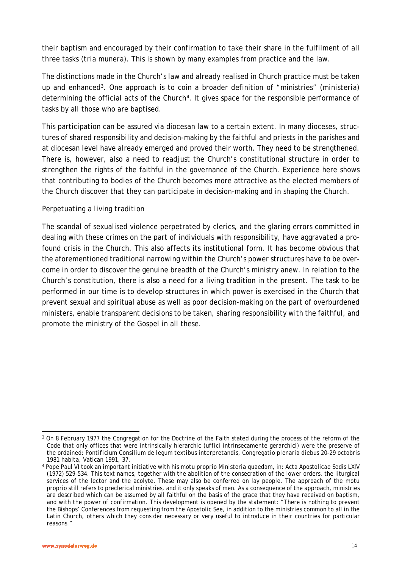their baptism and encouraged by their confirmation to take their share in the fulfilment of all three tasks (*tria munera*). This is shown by many examples from practice and the law.

The distinctions made in the Church's law and already realised in Church practice must be taken up and enhanced[3](#page-13-0). One approach is to coin a broader definition of "ministries" (*ministeria*) determining the official acts of the Church<sup>[4](#page-13-1)</sup>. It gives space for the responsible performance of tasks by all those who are baptised.

This participation can be assured via diocesan law to a certain extent. In many dioceses, structures of shared responsibility and decision-making by the faithful and priests in the parishes and at diocesan level have already emerged and proved their worth. They need to be strengthened. There is, however, also a need to readjust the Church's constitutional structure in order to strengthen the rights of the faithful in the governance of the Church. Experience here shows that contributing to bodies of the Church becomes more attractive as the elected members of the Church discover that they can participate in decision-making and in shaping the Church.

### *Perpetuating a living tradition*

The scandal of sexualised violence perpetrated by clerics, and the glaring errors committed in dealing with these crimes on the part of individuals with responsibility, have aggravated a profound crisis in the Church. This also affects its institutional form. It has become obvious that the aforementioned traditional narrowing within the Church's power structures have to be overcome in order to discover the genuine breadth of the Church's ministry anew. In relation to the Church's constitution, there is also a need for a living tradition in the present. The task to be performed in our time is to develop structures in which power is exercised in the Church that prevent sexual and spiritual abuse as well as poor decision-making on the part of overburdened ministers, enable transparent decisions to be taken, sharing responsibility with the faithful, and promote the ministry of the Gospel in all these.

<span id="page-13-0"></span>l <sup>3</sup> On 8 February 1977 the Congregation for the Doctrine of the Faith stated during the process of the reform of the Code that only offices that were intrinsically hierarchic *(uffici intrinsecamente gerarchici)* were the preserve of the ordained: *Pontificium Consilium de legum textibus interpretandis, Congregatio plenaria diebus 20-29 octobris 1981 habita*, Vatican 1991, 37. 4 Pope Paul VI took an important initiative with his *motu proprio Ministeria quaedam*, in: [Acta Apostolicae Sedis](https://de.wikipedia.org/wiki/Acta_Apostolicae_Sedis) LXIV

<span id="page-13-1"></span><sup>(1972) 529–534.</sup> This text names, together with the abolition of the consecration of the lower orders, the liturgical services of the lector and the acolyte. These may also be conferred on lay people. The approach of the *motu proprio* still refers to preclerical ministries, and it only speaks of men. As a consequence of the approach, ministries are described which can be assumed by all faithful on the basis of the grace that they have received on baptism, and with the power of confirmation. This development is opened by the statement: "There is nothing to prevent the Bishops' Conferences from requesting from the Apostolic See, in addition to the ministries common to all in the Latin Church, others which they consider necessary or very useful to introduce in their countries for particular reasons."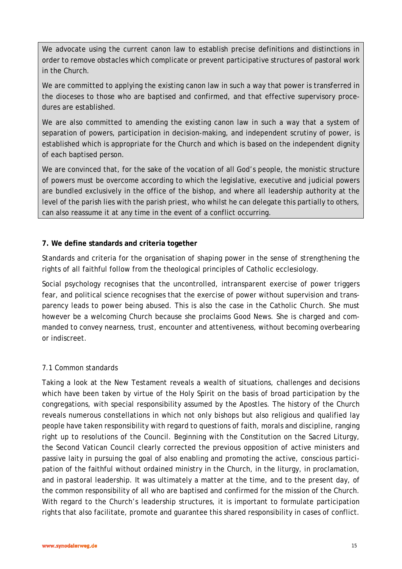We advocate using the current canon law to establish precise definitions and distinctions in order to remove obstacles which complicate or prevent participative structures of pastoral work in the Church.

We are committed to applying the existing canon law in such a way that power is transferred in the dioceses to those who are baptised and confirmed, and that effective supervisory procedures are established.

We are also committed to amending the existing canon law in such a way that a system of separation of powers, participation in decision-making, and independent scrutiny of power, is established which is appropriate for the Church and which is based on the independent dignity of each baptised person.

We are convinced that, for the sake of the vocation of all God's people, the monistic structure of powers must be overcome according to which the legislative, executive and judicial powers are bundled exclusively in the office of the bishop, and where all leadership authority at the level of the parish lies with the parish priest, who whilst he can delegate this partially to others, can also reassume it at any time in the event of a conflict occurring.

### **7. We define standards and criteria together**

Standards and criteria for the organisation of shaping power in the sense of strengthening the rights of all faithful follow from the theological principles of Catholic ecclesiology.

Social psychology recognises that the uncontrolled, intransparent exercise of power triggers fear, and political science recognises that the exercise of power without supervision and transparency leads to power being abused. This is also the case in the Catholic Church. She must however be a welcoming Church because she proclaims Good News. She is charged and commanded to convey nearness, trust, encounter and attentiveness, without becoming overbearing or indiscreet.

## 7.1 Common standards

Taking a look at the New Testament reveals a wealth of situations, challenges and decisions which have been taken by virtue of the Holy Spirit on the basis of broad participation by the congregations, with special responsibility assumed by the Apostles. The history of the Church reveals numerous constellations in which not only bishops but also religious and qualified lay people have taken responsibility with regard to questions of faith, morals and discipline, ranging right up to resolutions of the Council. Beginning with the Constitution on the Sacred Liturgy, the Second Vatican Council clearly corrected the previous opposition of active ministers and passive laity in pursuing the goal of also enabling and promoting the active, conscious participation of the faithful without ordained ministry in the Church, in the liturgy, in proclamation, and in pastoral leadership. It was ultimately a matter at the time, and to the present day, of the common responsibility of all who are baptised and confirmed for the mission of the Church. With regard to the Church's leadership structures, it is important to formulate participation rights that also facilitate, promote and guarantee this shared responsibility in cases of conflict.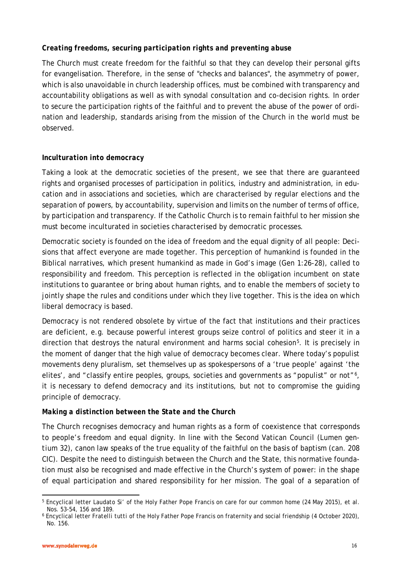### *Creating freedoms, securing participation rights and preventing abuse*

The Church must create freedom for the faithful so that they can develop their personal gifts for evangelisation. Therefore, in the sense of "checks and balances", the asymmetry of power, which is also unavoidable in church leadership offices, must be combined with transparency and accountability obligations as well as with synodal consultation and co-decision rights. In order to secure the participation rights of the faithful and to prevent the abuse of the power of ordination and leadership, standards arising from the mission of the Church in the world must be observed.

### *Inculturation into democracy*

Taking a look at the democratic societies of the present, we see that there are guaranteed rights and organised processes of participation in politics, industry and administration, in education and in associations and societies, which are characterised by regular elections and the separation of powers, by accountability, supervision and limits on the number of terms of office, by participation and transparency. If the Catholic Church is to remain faithful to her mission she must become inculturated in societies characterised by democratic processes.

Democratic society is founded on the idea of freedom and the equal dignity of all people: Decisions that affect everyone are made together. This perception of humankind is founded in the Biblical narratives, which present humankind as made in God's image (Gen 1:26-28), called to responsibility and freedom. This perception is reflected in the obligation incumbent on state institutions to guarantee or bring about human rights, and to enable the members of society to jointly shape the rules and conditions under which they live together. This is the idea on which liberal democracy is based.

Democracy is not rendered obsolete by virtue of the fact that institutions and their practices are deficient, e.g. because powerful interest groups seize control of politics and steer it in a direction that destroys the natural environment and harms social cohesion<sup>[5](#page-15-0)</sup>. It is precisely in the moment of danger that the high value of democracy becomes clear. Where today's populist movements deny pluralism, set themselves up as spokespersons of a 'true people' against 'the elites', and "classify entire peoples, groups, societies and governments as "populist" or not"<sup>6</sup>, it is necessary to defend democracy and its institutions, but not to compromise the guiding principle of democracy.

#### *Making a distinction between the State and the Church*

The Church recognises democracy and human rights as a form of coexistence that corresponds to people's freedom and equal dignity. In line with the Second Vatican Council (*Lumen gentium* 32), canon law speaks of the true equality of the faithful on the basis of baptism (can. 208 CIC). Despite the need to distinguish between the Church and the State, this normative foundation must also be recognised and made effective in the Church's system of power: in the shape of equal participation and shared responsibility for her mission. The goal of a separation of

<span id="page-15-0"></span>l <sup>5</sup> Encyclical letter *Laudato Si'* of the Holy Father Pope Francis on care for our common home (24 May 2015), et al. Nos. 53-54, 156 and 189.

<span id="page-15-1"></span><sup>6</sup> Encyclical letter *Fratelli tutti* of the Holy Father Pope Francis on fraternity and social friendship (4 October 2020), No. 156.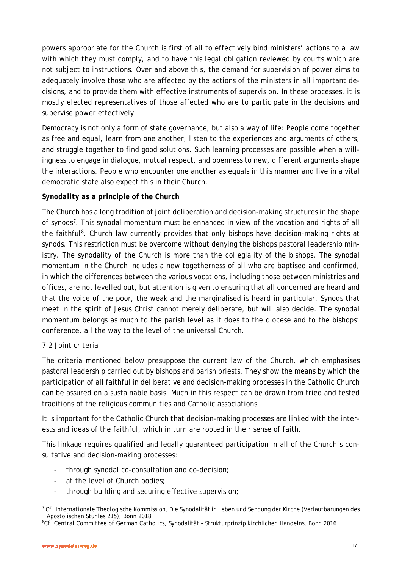powers appropriate for the Church is first of all to effectively bind ministers' actions to a law with which they must comply, and to have this legal obligation reviewed by courts which are not subject to instructions. Over and above this, the demand for supervision of power aims to adequately involve those who are affected by the actions of the ministers in all important decisions, and to provide them with effective instruments of supervision. In these processes, it is mostly elected representatives of those affected who are to participate in the decisions and supervise power effectively.

Democracy is not only a form of state governance, but also a way of life: People come together as free and equal, learn from one another, listen to the experiences and arguments of others, and struggle together to find good solutions. Such learning processes are possible when a willingness to engage in dialogue, mutual respect, and openness to new, different arguments shape the interactions. People who encounter one another as equals in this manner and live in a vital democratic state also expect this in their Church.

### *Synodality as a principle of the Church*

The Church has a long tradition of joint deliberation and decision-making structures in the shape of synods[7](#page-16-0). This synodal momentum must be enhanced in view of the vocation and rights of all the faithful<sup>[8](#page-16-1)</sup>. Church law currently provides that only bishops have decision-making rights at synods. This restriction must be overcome without denying the bishops pastoral leadership ministry. The synodality of the Church is more than the collegiality of the bishops. The synodal momentum in the Church includes a new togetherness of all who are baptised and confirmed, in which the differences between the various vocations, including those between ministries and offices, are not levelled out, but attention is given to ensuring that all concerned are heard and that the voice of the poor, the weak and the marginalised is heard in particular. Synods that meet in the spirit of Jesus Christ cannot merely deliberate, but will also decide. The synodal momentum belongs as much to the parish level as it does to the diocese and to the bishops' conference, all the way to the level of the universal Church.

### 7.2 Joint criteria

The criteria mentioned below presuppose the current law of the Church, which emphasises pastoral leadership carried out by bishops and parish priests. They show the means by which the participation of all faithful in deliberative and decision-making processes in the Catholic Church can be assured on a sustainable basis. Much in this respect can be drawn from tried and tested traditions of the religious communities and Catholic associations.

It is important for the Catholic Church that decision-making processes are linked with the interests and ideas of the faithful, which in turn are rooted in their sense of faith.

This linkage requires qualified and legally guaranteed participation in all of the Church's consultative and decision-making processes:

- through synodal co-consultation and co-decision;
- at the level of Church bodies;
- through building and securing effective supervision;

<span id="page-16-0"></span> $\overline{a}$ <sup>7</sup> Cf. *Internationale Theologische Kommission,* Die Synodalität in Leben und Sendung der Kirche (Verlautbarungen des Apostolischen Stuhles 215), Bonn 2018.

<span id="page-16-1"></span><sup>8</sup>Cf. *Central Committee of German Catholics,* Synodalität – Strukturprinzip kirchlichen Handelns, Bonn 2016.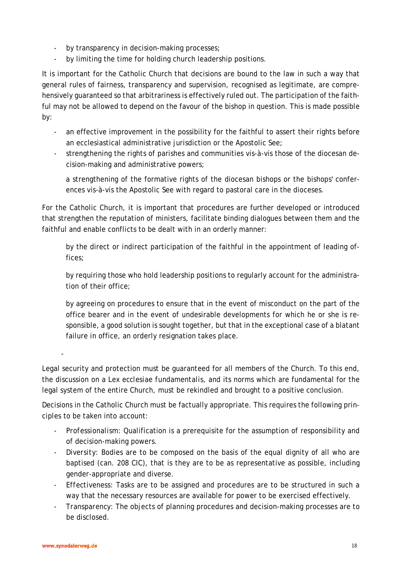- by transparency in decision-making processes;
- by limiting the time for holding church leadership positions.

It is important for the Catholic Church that decisions are bound to the law in such a way that general rules of fairness, transparency and supervision, recognised as legitimate, are comprehensively guaranteed so that arbitrariness is effectively ruled out. The participation of the faithful may not be allowed to depend on the favour of the bishop in question. This is made possible by:

- an effective improvement in the possibility for the faithful to assert their rights before an ecclesiastical administrative jurisdiction or the Apostolic See;
- strengthening the rights of parishes and communities vis-à-vis those of the diocesan decision-making and administrative powers;

a strengthening of the formative rights of the diocesan bishops or the bishops' conferences vis-à-vis the Apostolic See with regard to pastoral care in the dioceses.

For the Catholic Church, it is important that procedures are further developed or introduced that strengthen the reputation of ministers, facilitate binding dialogues between them and the faithful and enable conflicts to be dealt with in an orderly manner:

by the direct or indirect participation of the faithful in the appointment of leading offices;

by requiring those who hold leadership positions to regularly account for the administration of their office;

by agreeing on procedures to ensure that in the event of misconduct on the part of the office bearer and in the event of undesirable developments for which he or she is responsible, a good solution is sought together, but that in the exceptional case of a blatant failure in office, an orderly resignation takes place.

Legal security and protection must be guaranteed for all members of the Church. To this end, the discussion on a *Lex ecclesiae fundamentalis*, and its norms which are fundamental for the legal system of the entire Church, must be rekindled and brought to a positive conclusion.

Decisions in the Catholic Church must be factually appropriate. This requires the following principles to be taken into account:

- *Professionalism:* Qualification is a prerequisite for the assumption of responsibility and of decision-making powers.
- *Diversity:* Bodies are to be composed on the basis of the equal dignity of all who are baptised (can. 208 CIC), that is they are to be as representative as possible, including gender-appropriate and diverse.
- *Effectiveness:* Tasks are to be assigned and procedures are to be structured in such a way that the necessary resources are available for power to be exercised effectively.
- *Transparency:* The objects of planning procedures and decision-making processes are to be disclosed.

-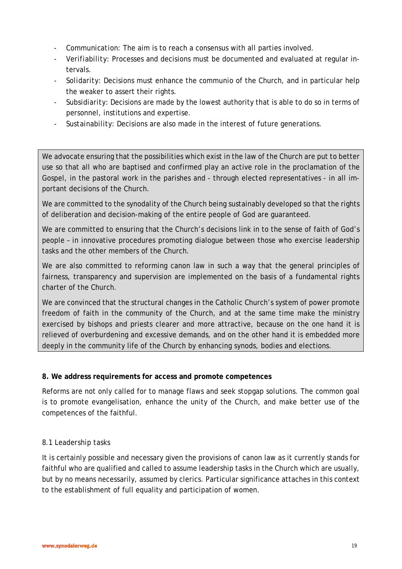- *Communication:* The aim is to reach a consensus with all parties involved.
- *Verifiability*: Processes and decisions must be documented and evaluated at regular intervals.
- *Solidarity:* Decisions must enhance the *communio* of the Church, and in particular help the weaker to assert their rights.
- *Subsidiarity:* Decisions are made by the lowest authority that is able to do so in terms of personnel, institutions and expertise.
- *Sustainability:* Decisions are also made in the interest of future generations.

We advocate ensuring that the possibilities which exist in the law of the Church are put to better use so that all who are baptised and confirmed play an active role in the proclamation of the Gospel, in the pastoral work in the parishes and - through elected representatives - in all important decisions of the Church.

We are committed to the synodality of the Church being sustainably developed so that the rights of deliberation and decision-making of the entire people of God are guaranteed.

We are committed to ensuring that the Church's decisions link in to the sense of faith of God's people – in innovative procedures promoting dialogue between those who exercise leadership tasks and the other members of the Church.

We are also committed to reforming canon law in such a way that the general principles of fairness, transparency and supervision are implemented on the basis of a fundamental rights charter of the Church.

We are convinced that the structural changes in the Catholic Church's system of power promote freedom of faith in the community of the Church, and at the same time make the ministry exercised by bishops and priests clearer and more attractive, because on the one hand it is relieved of overburdening and excessive demands, and on the other hand it is embedded more deeply in the community life of the Church by enhancing synods, bodies and elections.

#### **8. We address requirements for access and promote competences**

Reforms are not only called for to manage flaws and seek stopgap solutions. The common goal is to promote evangelisation, enhance the unity of the Church, and make better use of the competences of the faithful.

#### *8.1 Leadership tasks*

It is certainly possible and necessary given the provisions of canon law as it currently stands for faithful who are qualified and called to assume leadership tasks in the Church which are usually, but by no means necessarily, assumed by clerics. Particular significance attaches in this context to the establishment of full equality and participation of women.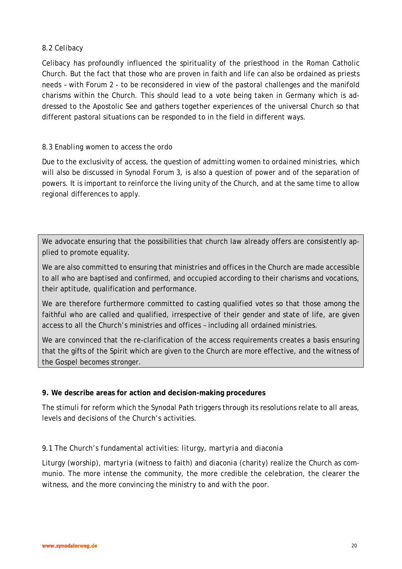### *8.2 Celibacy*

Celibacy has profoundly influenced the spirituality of the priesthood in the Roman Catholic Church. But the fact that those who are proven in faith and life can also be ordained as priests needs – with Forum 2 - to be reconsidered in view of the pastoral challenges and the manifold charisms within the Church. This should lead to a vote being taken in Germany which is addressed to the Apostolic See and gathers together experiences of the universal Church so that different pastoral situations can be responded to in the field in different ways.

### *8.3 Enabling women to access the ordo*

Due to the exclusivity of access, the question of admitting women to ordained ministries, which will also be discussed in Synodal Forum 3, is also a question of power and of the separation of powers. It is important to reinforce the living unity of the Church, and at the same time to allow regional differences to apply.

We advocate ensuring that the possibilities that church law already offers are consistently applied to promote equality.

We are also committed to ensuring that ministries and offices in the Church are made accessible to all who are baptised and confirmed, and occupied according to their charisms and vocations, their aptitude, qualification and performance.

We are therefore furthermore committed to casting qualified votes so that those among the faithful who are called and qualified, irrespective of their gender and state of life, are given access to all the Church's ministries and offices – including all ordained ministries.

We are convinced that the re-clarification of the access requirements creates a basis ensuring that the gifts of the Spirit which are given to the Church are more effective, and the witness of the Gospel becomes stronger.

### **9. We describe areas for action and decision-making procedures**

The stimuli for reform which the Synodal Path triggers through its resolutions relate to all areas, levels and decisions of the Church's activities.

## *9.1 The Church's fundamental activities: liturgy, martyria and diaconia*

Liturgy (worship), *martyria* (witness to faith) and *diaconia* (charity) realize the Church as *communio.* The more intense the community, the more credible the celebration, the clearer the witness, and the more convincing the ministry to and with the poor.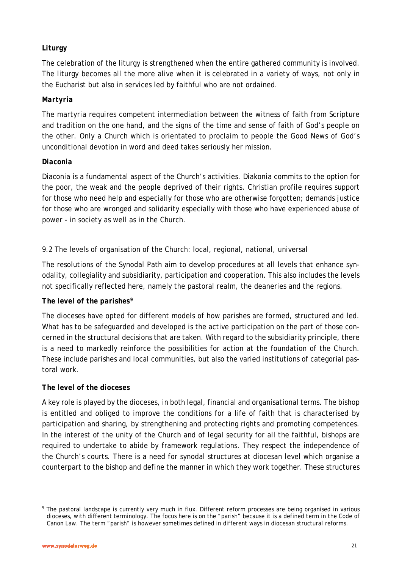## *Liturgy*

The celebration of the liturgy is strengthened when the entire gathered community is involved. The liturgy becomes all the more alive when it is celebrated in a variety of ways, not only in the Eucharist but also in services led by faithful who are not ordained.

### *Martyria*

The *martyria* requires competent intermediation between the witness of faith from Scripture and tradition on the one hand, and the signs of the time and sense of faith of God's people on the other. Only a Church which is orientated to proclaim to people the Good News of God's unconditional devotion in word and deed takes seriously her mission.

### *Diaconia*

*Diaconia* is a fundamental aspect of the Church's activities. *Diakonia* commits to the option for the poor, the weak and the people deprived of their rights. Christian profile requires support for those who need help and especially for those who are otherwise forgotten; demands justice for those who are wronged and solidarity especially with those who have experienced abuse of power - in society as well as in the Church.

## 9.2 The levels of organisation of the Church: local, regional, national, universal

The resolutions of the Synodal Path aim to develop procedures at all levels that enhance synodality, collegiality and subsidiarity, participation and cooperation. This also includes the levels not specifically reflected here, namely the pastoral realm, the deaneries and the regions.

### *The level of the parishes[9](#page-20-0)*

The dioceses have opted for different models of how parishes are formed, structured and led. What has to be safeguarded and developed is the active participation on the part of those concerned in the structural decisions that are taken. With regard to the subsidiarity principle, there is a need to markedly reinforce the possibilities for action at the foundation of the Church. These include parishes and local communities, but also the varied institutions of categorial pastoral work.

### *The level of the dioceses*

A key role is played by the dioceses, in both legal, financial and organisational terms. The bishop is entitled and obliged to improve the conditions for a life of faith that is characterised by participation and sharing, by strengthening and protecting rights and promoting competences. In the interest of the unity of the Church and of legal security for all the faithful, bishops are required to undertake to abide by framework regulations. They respect the independence of the Church's courts. There is a need for synodal structures at diocesan level which organise a counterpart to the bishop and define the manner in which they work together. These structures

<span id="page-20-0"></span> $\overline{a}$ <sup>9</sup> The pastoral landscape is currently very much in flux. Different reform processes are being organised in various dioceses, with different terminology. The focus here is on the "parish" because it is a defined term in the Code of Canon Law. The term "parish" is however sometimes defined in different ways in diocesan structural reforms.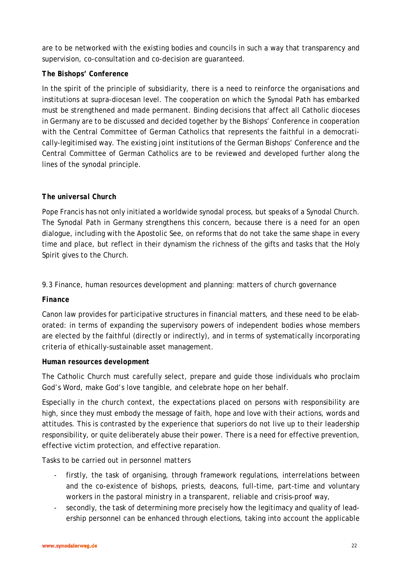are to be networked with the existing bodies and councils in such a way that transparency and supervision, co-consultation and co-decision are guaranteed.

### *The Bishops' Conference*

In the spirit of the principle of subsidiarity, there is a need to reinforce the organisations and institutions at supra-diocesan level. The cooperation on which the Synodal Path has embarked must be strengthened and made permanent. Binding decisions that affect all Catholic dioceses in Germany are to be discussed and decided together by the Bishops' Conference in cooperation with the Central Committee of German Catholics that represents the faithful in a democratically-legitimised way. The existing joint institutions of the German Bishops' Conference and the Central Committee of German Catholics are to be reviewed and developed further along the lines of the synodal principle.

### *The universal Church*

Pope Francis has not only initiated a worldwide synodal process, but speaks of a Synodal Church. The Synodal Path in Germany strengthens this concern, because there is a need for an open dialogue, including with the Apostolic See, on reforms that do not take the same shape in every time and place, but reflect in their dynamism the richness of the gifts and tasks that the Holy Spirit gives to the Church.

9.3 Finance, human resources development and planning: matters of church governance

### *Finance*

Canon law provides for participative structures in financial matters, and these need to be elaborated: in terms of expanding the supervisory powers of independent bodies whose members are elected by the faithful (directly or indirectly), and in terms of systematically incorporating criteria of ethically-sustainable asset management.

### *Human resources development*

The Catholic Church must carefully select, prepare and guide those individuals who proclaim God's Word, make God's love tangible, and celebrate hope on her behalf.

Especially in the church context, the expectations placed on persons with responsibility are high, since they must embody the message of faith, hope and love with their actions, words and attitudes. This is contrasted by the experience that superiors do not live up to their leadership responsibility, or quite deliberately abuse their power. There is a need for effective prevention, effective victim protection, and effective reparation.

Tasks to be carried out in *personnel matters*

- firstly, the task of organising, through framework regulations, interrelations between and the co-existence of bishops, priests, deacons, full-time, part-time and voluntary workers in the pastoral ministry in a transparent, reliable and crisis-proof way,
- secondly, the task of determining more precisely how the legitimacy and quality of leadership personnel can be enhanced through elections, taking into account the applicable